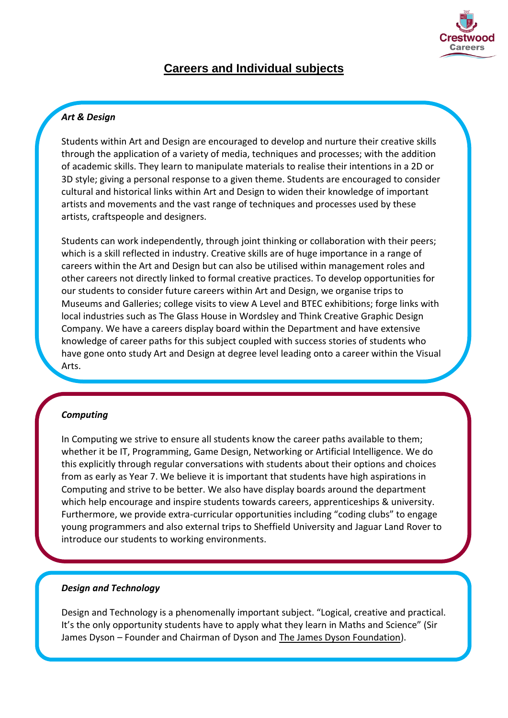

# **Careers and Individual subjects**

## *Art & Design*

Students within Art and Design are encouraged to develop and nurture their creative skills through the application of a variety of media, techniques and processes; with the addition of academic skills. They learn to manipulate materials to realise their intentions in a 2D or 3D style; giving a personal response to a given theme. Students are encouraged to consider cultural and historical links within Art and Design to widen their knowledge of important artists and movements and the vast range of techniques and processes used by these artists, craftspeople and designers.

Students can work independently, through joint thinking or collaboration with their peers; which is a skill reflected in industry. Creative skills are of huge importance in a range of careers within the Art and Design but can also be utilised within management roles and other careers not directly linked to formal creative practices. To develop opportunities for our students to consider future careers within Art and Design, we organise trips to Museums and Galleries; college visits to view A Level and BTEC exhibitions; forge links with local industries such as The Glass House in Wordsley and Think Creative Graphic Design Company. We have a careers display board within the Department and have extensive knowledge of career paths for this subject coupled with success stories of students who have gone onto study Art and Design at degree level leading onto a career within the Visual Arts.

## *Computing*

In Computing we strive to ensure all students know the career paths available to them; whether it be IT, Programming, Game Design, Networking or Artificial Intelligence. We do this explicitly through regular conversations with students about their options and choices from as early as Year 7. We believe it is important that students have high aspirations in Computing and strive to be better. We also have display boards around the department which help encourage and inspire students towards careers, apprenticeships & university. Furthermore, we provide extra-curricular opportunities including "coding clubs" to engage young programmers and also external trips to Sheffield University and Jaguar Land Rover to introduce our students to working environments.

### *Design and Technology*

Design and Technology is a phenomenally important subject. "Logical, creative and practical. It's the only opportunity students have to apply what they learn in Maths and Science" (Sir James Dyson – Founder and Chairman of Dyson and The James Dyson Foundation).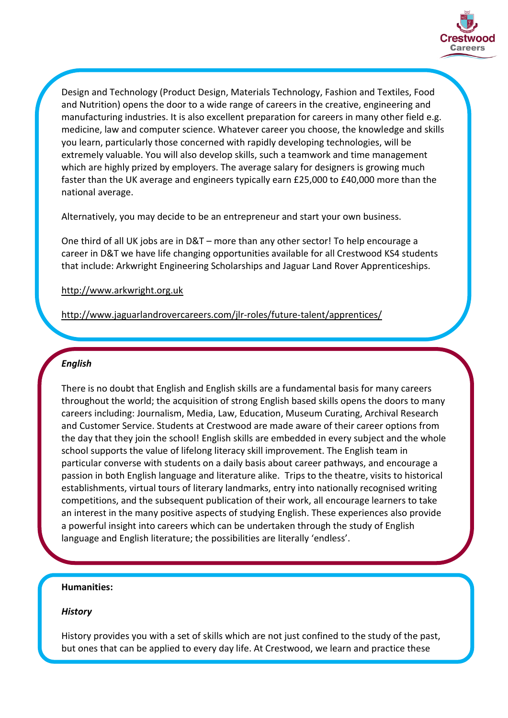

Design and Technology (Product Design, Materials Technology, Fashion and Textiles, Food and Nutrition) opens the door to a wide range of careers in the creative, engineering and manufacturing industries. It is also excellent preparation for careers in many other field e.g. medicine, law and computer science. Whatever career you choose, the knowledge and skills you learn, particularly those concerned with rapidly developing technologies, will be extremely valuable. You will also develop skills, such a teamwork and time management which are highly prized by employers. The average salary for designers is growing much faster than the UK average and engineers typically earn £25,000 to £40,000 more than the national average.

Alternatively, you may decide to be an entrepreneur and start your own business.

One third of all UK jobs are in D&T – more than any other sector! To help encourage a career in D&T we have life changing opportunities available for all Crestwood KS4 students that include: Arkwright Engineering Scholarships and Jaguar Land Rover Apprenticeships.

#### http://www.arkwright.org.uk

http://www.jaguarlandrovercareers.com/jlr-roles/future-talent/apprentices/

### *English*

There is no doubt that English and English skills are a fundamental basis for many careers throughout the world; the acquisition of strong English based skills opens the doors to many careers including: Journalism, Media, Law, Education, Museum Curating, Archival Research and Customer Service. Students at Crestwood are made aware of their career options from the day that they join the school! English skills are embedded in every subject and the whole school supports the value of lifelong literacy skill improvement. The English team in particular converse with students on a daily basis about career pathways, and encourage a passion in both English language and literature alike. Trips to the theatre, visits to historical establishments, virtual tours of literary landmarks, entry into nationally recognised writing competitions, and the subsequent publication of their work, all encourage learners to take an interest in the many positive aspects of studying English. These experiences also provide a powerful insight into careers which can be undertaken through the study of English language and English literature; the possibilities are literally 'endless'.

### **Humanities:**

### *History*

History provides you with a set of skills which are not just confined to the study of the past, but ones that can be applied to every day life. At Crestwood, we learn and practice these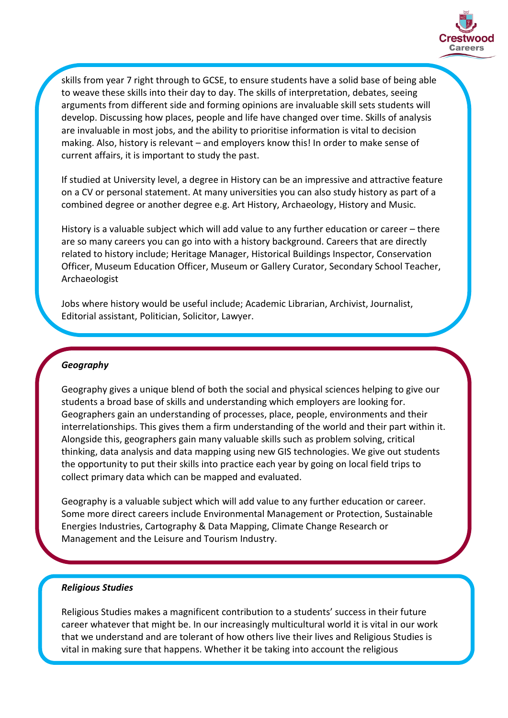

skills from year 7 right through to GCSE, to ensure students have a solid base of being able to weave these skills into their day to day. The skills of interpretation, debates, seeing arguments from different side and forming opinions are invaluable skill sets students will develop. Discussing how places, people and life have changed over time. Skills of analysis are invaluable in most jobs, and the ability to prioritise information is vital to decision making. Also, history is relevant – and employers know this! In order to make sense of current affairs, it is important to study the past.

If studied at University level, a degree in History can be an impressive and attractive feature on a CV or personal statement. At many universities you can also study history as part of a combined degree or another degree e.g. Art History, Archaeology, History and Music.

History is a valuable subject which will add value to any further education or career – there are so many careers you can go into with a history background. Careers that are directly related to history include; Heritage Manager, Historical Buildings Inspector, Conservation Officer, Museum Education Officer, Museum or Gallery Curator, Secondary School Teacher, Archaeologist

Jobs where history would be useful include; Academic Librarian, Archivist, Journalist, Editorial assistant, Politician, Solicitor, Lawyer.

### *Geography*

Geography gives a unique blend of both the social and physical sciences helping to give our students a broad base of skills and understanding which employers are looking for. Geographers gain an understanding of processes, place, people, environments and their interrelationships. This gives them a firm understanding of the world and their part within it. Alongside this, geographers gain many valuable skills such as problem solving, critical thinking, data analysis and data mapping using new GIS technologies. We give out students the opportunity to put their skills into practice each year by going on local field trips to collect primary data which can be mapped and evaluated.

Geography is a valuable subject which will add value to any further education or career. Some more direct careers include Environmental Management or Protection, Sustainable Energies Industries, Cartography & Data Mapping, Climate Change Research or Management and the Leisure and Tourism Industry.

### *Religious Studies*

Religious Studies makes a magnificent contribution to a students' success in their future career whatever that might be. In our increasingly multicultural world it is vital in our work that we understand and are tolerant of how others live their lives and Religious Studies is vital in making sure that happens. Whether it be taking into account the religious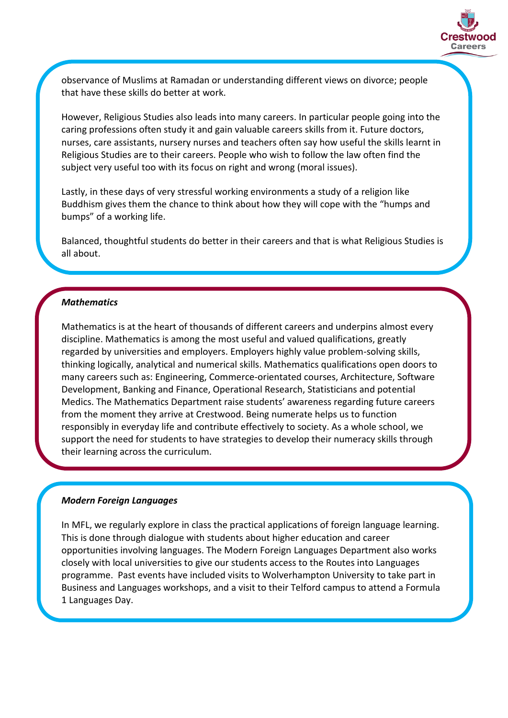

observance of Muslims at Ramadan or understanding different views on divorce; people that have these skills do better at work.

However, Religious Studies also leads into many careers. In particular people going into the caring professions often study it and gain valuable careers skills from it. Future doctors, nurses, care assistants, nursery nurses and teachers often say how useful the skills learnt in Religious Studies are to their careers. People who wish to follow the law often find the subject very useful too with its focus on right and wrong (moral issues).

Lastly, in these days of very stressful working environments a study of a religion like Buddhism gives them the chance to think about how they will cope with the "humps and bumps" of a working life.

Balanced, thoughtful students do better in their careers and that is what Religious Studies is all about.

## *Mathematics*

Mathematics is at the heart of thousands of different careers and underpins almost every discipline. Mathematics is among the most useful and valued qualifications, greatly regarded by universities and employers. Employers highly value problem-solving skills, thinking logically, analytical and numerical skills. Mathematics qualifications open doors to many careers such as: Engineering, Commerce-orientated courses, Architecture, Software Development, Banking and Finance, Operational Research, Statisticians and potential Medics. The Mathematics Department raise students' awareness regarding future careers from the moment they arrive at Crestwood. Being numerate helps us to function responsibly in everyday life and contribute effectively to society. As a whole school, we support the need for students to have strategies to develop their numeracy skills through their learning across the curriculum.

#### *Modern Foreign Languages*

In MFL, we regularly explore in class the practical applications of foreign language learning. This is done through dialogue with students about higher education and career opportunities involving languages. The Modern Foreign Languages Department also works closely with local universities to give our students access to the Routes into Languages programme. Past events have included visits to Wolverhampton University to take part in Business and Languages workshops, and a visit to their Telford campus to attend a Formula 1 Languages Day.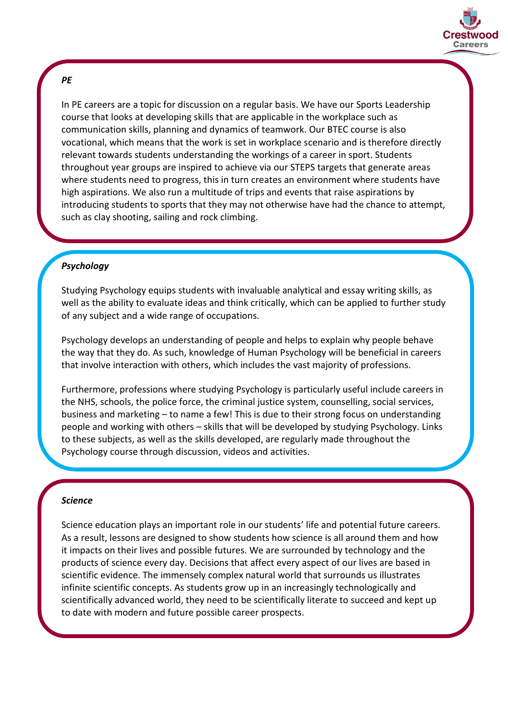

## *PE*

In PE careers are a topic for discussion on a regular basis. We have our Sports Leadership course that looks at developing skills that are applicable in the workplace such as communication skills, planning and dynamics of teamwork. Our BTEC course is also vocational, which means that the work is set in workplace scenario and is therefore directly relevant towards students understanding the workings of a career in sport. Students throughout year groups are inspired to achieve via our STEPS targets that generate areas where students need to progress, this in turn creates an environment where students have high aspirations. We also run a multitude of trips and events that raise aspirations by introducing students to sports that they may not otherwise have had the chance to attempt, such as clay shooting, sailing and rock climbing.

## *Psychology*

Studying Psychology equips students with invaluable analytical and essay writing skills, as well as the ability to evaluate ideas and think critically, which can be applied to further study of any subject and a wide range of occupations.

Psychology develops an understanding of people and helps to explain why people behave the way that they do. As such, knowledge of Human Psychology will be beneficial in careers that involve interaction with others, which includes the vast majority of professions.

Furthermore, professions where studying Psychology is particularly useful include careers in the NHS, schools, the police force, the criminal justice system, counselling, social services, business and marketing – to name a few! This is due to their strong focus on understanding people and working with others – skills that will be developed by studying Psychology. Links to these subjects, as well as the skills developed, are regularly made throughout the Psychology course through discussion, videos and activities.

### *Science*

Science education plays an important role in our students' life and potential future careers. As a result, lessons are designed to show students how science is all around them and how it impacts on their lives and possible futures. We are surrounded by technology and the products of science every day. Decisions that affect every aspect of our lives are based in scientific evidence. The immensely complex natural world that surrounds us illustrates infinite scientific concepts. As students grow up in an increasingly technologically and scientifically advanced world, they need to be scientifically literate to succeed and kept up to date with modern and future possible career prospects.